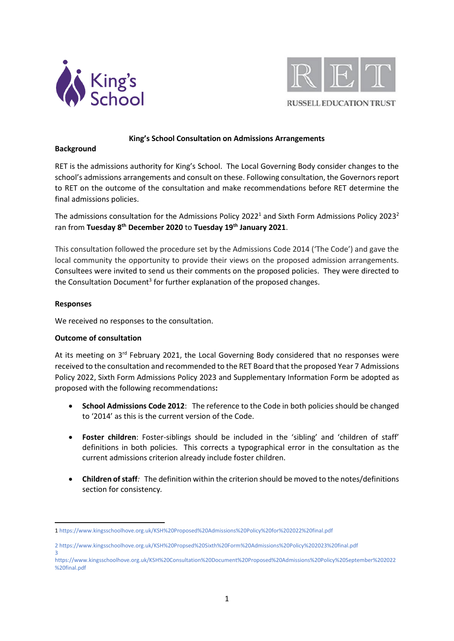



## **King's School Consultation on Admissions Arrangements**

#### **Background**

RET is the admissions authority for King's School. The Local Governing Body consider changes to the school's admissions arrangements and consult on these. Following consultation, the Governors report to RET on the outcome of the consultation and make recommendations before RET determine the final admissions policies.

The admissions consultation for the Admissions Policy 2022<sup>1</sup> and Sixth Form Admissions Policy 2023<sup>2</sup> ran from **Tuesday 8 th December 2020** to **Tuesday 19th January 2021**.

This consultation followed the procedure set by the Admissions Code 2014 ('The Code') and gave the local community the opportunity to provide their views on the proposed admission arrangements. Consultees were invited to send us their comments on the proposed policies. They were directed to the Consultation Document<sup>3</sup> for further explanation of the proposed changes.

# **Responses**

We received no responses to the consultation.

## **Outcome of consultation**

At its meeting on 3<sup>rd</sup> February 2021, the Local Governing Body considered that no responses were received to the consultation and recommended to the RET Board that the proposed Year 7 Admissions Policy 2022, Sixth Form Admissions Policy 2023 and Supplementary Information Form be adopted as proposed with the following recommendations**:** 

- **School Admissions Code 2012**: The reference to the Code in both policies should be changed to '2014' as this is the current version of the Code.
- **Foster children**: Foster-siblings should be included in the 'sibling' and 'children of staff' definitions in both policies. This corrects a typographical error in the consultation as the current admissions criterion already include foster children.
- **Children of staff***:* The definition within the criterion should be moved to the notes/definitions section for consistency*.*

<sup>1</sup> 1 <https://www.kingsschoolhove.org.uk/KSH%20Proposed%20Admissions%20Policy%20for%202022%20final.pdf>

<sup>2</sup> <https://www.kingsschoolhove.org.uk/KSH%20Propsed%20Sixth%20Form%20Admissions%20Policy%202023%20final.pdf> 3

[https://www.kingsschoolhove.org.uk/KSH%20Consultation%20Document%20Proposed%20Admissions%20Policy%20September%202022](https://www.kingsschoolhove.org.uk/KSH%20Consultation%20Document%20Proposed%20Admissions%20Policy%20September%202022%20final.pdf) [%20final.pdf](https://www.kingsschoolhove.org.uk/KSH%20Consultation%20Document%20Proposed%20Admissions%20Policy%20September%202022%20final.pdf)